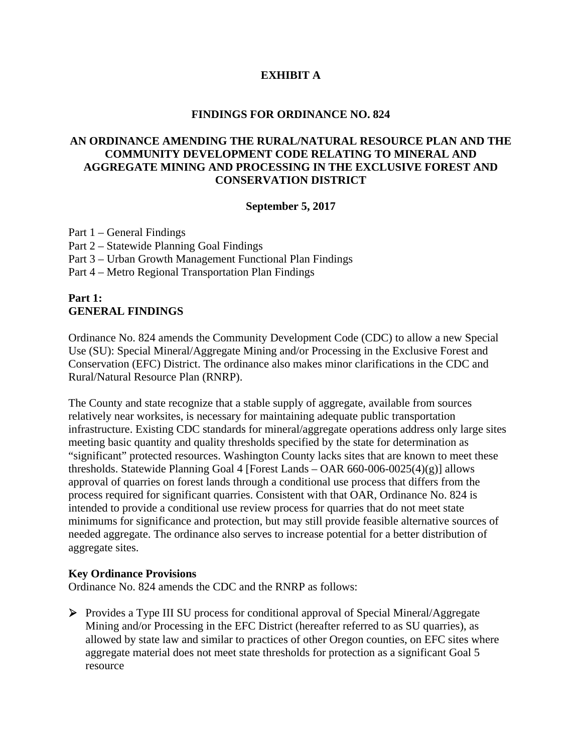## **EXHIBIT A**

#### **FINDINGS FOR ORDINANCE NO. 824**

## **AN ORDINANCE AMENDING THE RURAL/NATURAL RESOURCE PLAN AND THE COMMUNITY DEVELOPMENT CODE RELATING TO MINERAL AND AGGREGATE MINING AND PROCESSING IN THE EXCLUSIVE FOREST AND CONSERVATION DISTRICT**

#### **September 5, 2017**

Part 1 – General Findings Part 2 – Statewide Planning Goal Findings Part 3 – Urban Growth Management Functional Plan Findings Part 4 – Metro Regional Transportation Plan Findings

### **Part 1: GENERAL FINDINGS**

Ordinance No. 824 amends the Community Development Code (CDC) to allow a new Special Use (SU): Special Mineral/Aggregate Mining and/or Processing in the Exclusive Forest and Conservation (EFC) District. The ordinance also makes minor clarifications in the CDC and Rural/Natural Resource Plan (RNRP).

The County and state recognize that a stable supply of aggregate, available from sources relatively near worksites, is necessary for maintaining adequate public transportation infrastructure. Existing CDC standards for mineral/aggregate operations address only large sites meeting basic quantity and quality thresholds specified by the state for determination as "significant" protected resources. Washington County lacks sites that are known to meet these thresholds. Statewide Planning Goal 4 [Forest Lands – OAR  $660-006-0025(4)(g)$ ] allows approval of quarries on forest lands through a conditional use process that differs from the process required for significant quarries. Consistent with that OAR, Ordinance No. 824 is intended to provide a conditional use review process for quarries that do not meet state minimums for significance and protection, but may still provide feasible alternative sources of needed aggregate. The ordinance also serves to increase potential for a better distribution of aggregate sites.

### **Key Ordinance Provisions**

Ordinance No. 824 amends the CDC and the RNRP as follows:

 Provides a Type III SU process for conditional approval of Special Mineral/Aggregate Mining and/or Processing in the EFC District (hereafter referred to as SU quarries), as allowed by state law and similar to practices of other Oregon counties, on EFC sites where aggregate material does not meet state thresholds for protection as a significant Goal 5 resource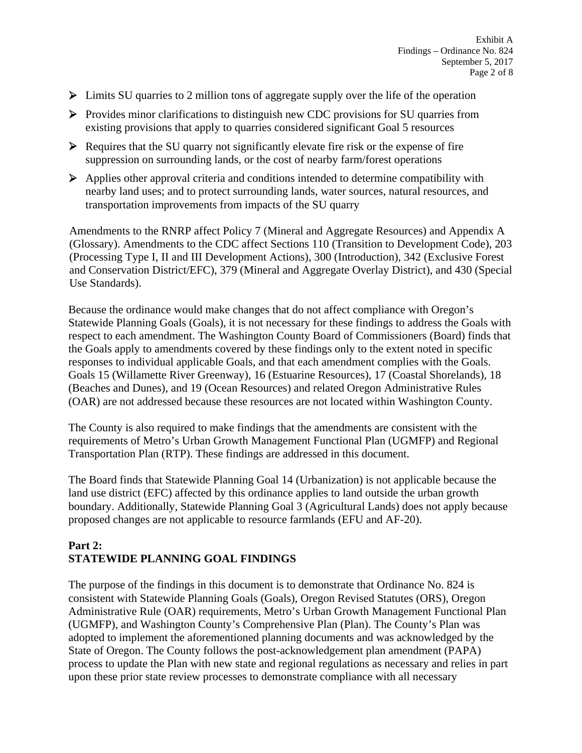- $\triangleright$  Limits SU quarries to 2 million tons of aggregate supply over the life of the operation
- $\triangleright$  Provides minor clarifications to distinguish new CDC provisions for SU quarries from existing provisions that apply to quarries considered significant Goal 5 resources
- $\triangleright$  Requires that the SU quarry not significantly elevate fire risk or the expense of fire suppression on surrounding lands, or the cost of nearby farm/forest operations
- $\triangleright$  Applies other approval criteria and conditions intended to determine compatibility with nearby land uses; and to protect surrounding lands, water sources, natural resources, and transportation improvements from impacts of the SU quarry

Amendments to the RNRP affect Policy 7 (Mineral and Aggregate Resources) and Appendix A (Glossary). Amendments to the CDC affect Sections 110 (Transition to Development Code), 203 (Processing Type I, II and III Development Actions), 300 (Introduction), 342 (Exclusive Forest and Conservation District/EFC), 379 (Mineral and Aggregate Overlay District), and 430 (Special Use Standards).

Because the ordinance would make changes that do not affect compliance with Oregon's Statewide Planning Goals (Goals), it is not necessary for these findings to address the Goals with respect to each amendment. The Washington County Board of Commissioners (Board) finds that the Goals apply to amendments covered by these findings only to the extent noted in specific responses to individual applicable Goals, and that each amendment complies with the Goals. Goals 15 (Willamette River Greenway), 16 (Estuarine Resources), 17 (Coastal Shorelands), 18 (Beaches and Dunes), and 19 (Ocean Resources) and related Oregon Administrative Rules (OAR) are not addressed because these resources are not located within Washington County.

The County is also required to make findings that the amendments are consistent with the requirements of Metro's Urban Growth Management Functional Plan (UGMFP) and Regional Transportation Plan (RTP). These findings are addressed in this document.

The Board finds that Statewide Planning Goal 14 (Urbanization) is not applicable because the land use district (EFC) affected by this ordinance applies to land outside the urban growth boundary. Additionally, Statewide Planning Goal 3 (Agricultural Lands) does not apply because proposed changes are not applicable to resource farmlands (EFU and AF-20).

# **Part 2: STATEWIDE PLANNING GOAL FINDINGS**

The purpose of the findings in this document is to demonstrate that Ordinance No. 824 is consistent with Statewide Planning Goals (Goals), Oregon Revised Statutes (ORS), Oregon Administrative Rule (OAR) requirements, Metro's Urban Growth Management Functional Plan (UGMFP), and Washington County's Comprehensive Plan (Plan). The County's Plan was adopted to implement the aforementioned planning documents and was acknowledged by the State of Oregon. The County follows the post-acknowledgement plan amendment (PAPA) process to update the Plan with new state and regional regulations as necessary and relies in part upon these prior state review processes to demonstrate compliance with all necessary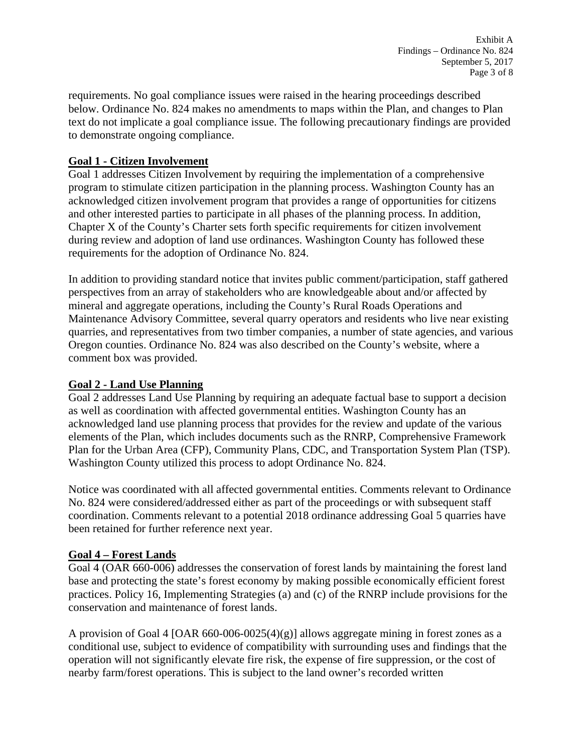Exhibit A Findings – Ordinance No. 824 September 5, 2017 Page 3 of 8

requirements. No goal compliance issues were raised in the hearing proceedings described below. Ordinance No. 824 makes no amendments to maps within the Plan, and changes to Plan text do not implicate a goal compliance issue. The following precautionary findings are provided to demonstrate ongoing compliance.

### **Goal 1 - Citizen Involvement**

Goal 1 addresses Citizen Involvement by requiring the implementation of a comprehensive program to stimulate citizen participation in the planning process. Washington County has an acknowledged citizen involvement program that provides a range of opportunities for citizens and other interested parties to participate in all phases of the planning process. In addition, Chapter X of the County's Charter sets forth specific requirements for citizen involvement during review and adoption of land use ordinances. Washington County has followed these requirements for the adoption of Ordinance No. 824.

In addition to providing standard notice that invites public comment/participation, staff gathered perspectives from an array of stakeholders who are knowledgeable about and/or affected by mineral and aggregate operations, including the County's Rural Roads Operations and Maintenance Advisory Committee, several quarry operators and residents who live near existing quarries, and representatives from two timber companies, a number of state agencies, and various Oregon counties. Ordinance No. 824 was also described on the County's website, where a comment box was provided.

## **Goal 2 - Land Use Planning**

Goal 2 addresses Land Use Planning by requiring an adequate factual base to support a decision as well as coordination with affected governmental entities. Washington County has an acknowledged land use planning process that provides for the review and update of the various elements of the Plan, which includes documents such as the RNRP, Comprehensive Framework Plan for the Urban Area (CFP), Community Plans, CDC, and Transportation System Plan (TSP). Washington County utilized this process to adopt Ordinance No. 824.

Notice was coordinated with all affected governmental entities. Comments relevant to Ordinance No. 824 were considered/addressed either as part of the proceedings or with subsequent staff coordination. Comments relevant to a potential 2018 ordinance addressing Goal 5 quarries have been retained for further reference next year.

### **Goal 4 – Forest Lands**

Goal 4 (OAR 660-006) addresses the conservation of forest lands by maintaining the forest land base and protecting the state's forest economy by making possible economically efficient forest practices. Policy 16, Implementing Strategies (a) and (c) of the RNRP include provisions for the conservation and maintenance of forest lands.

A provision of Goal 4 [OAR 660-006-0025(4)(g)] allows aggregate mining in forest zones as a conditional use, subject to evidence of compatibility with surrounding uses and findings that the operation will not significantly elevate fire risk, the expense of fire suppression, or the cost of nearby farm/forest operations. This is subject to the land owner's recorded written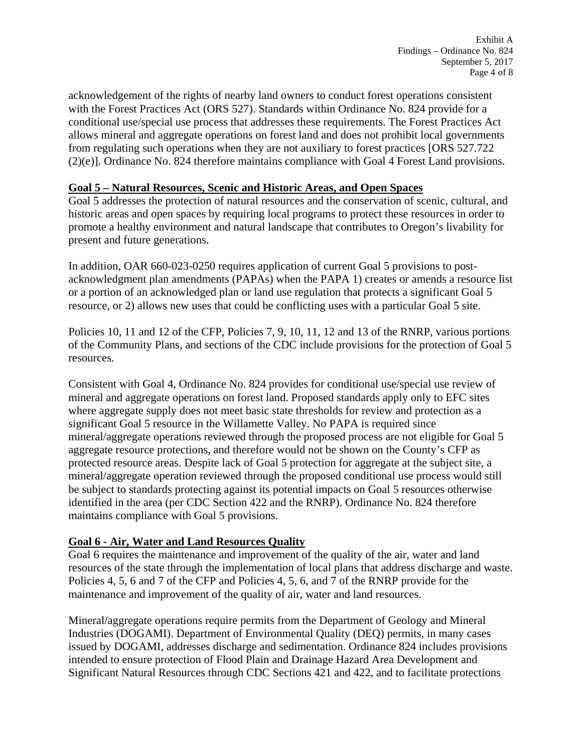acknowledgement of the rights of nearby land owners to conduct forest operations consistent with the Forest Practices Act (ORS 527). Standards within Ordinance No. 824 provide for a conditional use/special use process that addresses these requirements. The Forest Practices Act allows mineral and aggregate operations on forest land and does not prohibit local governments from regulating such operations when they are not auxiliary to forest practices [ORS 527.722 (2)(e)]. Ordinance No. 824 therefore maintains compliance with Goal 4 Forest Land provisions.

### **Goal 5 – Natural Resources, Scenic and Historic Areas, and Open Spaces**

Goal 5 addresses the protection of natural resources and the conservation of scenic, cultural, and historic areas and open spaces by requiring local programs to protect these resources in order to promote a healthy environment and natural landscape that contributes to Oregon's livability for present and future generations.

In addition, OAR 660-023-0250 requires application of current Goal 5 provisions to postacknowledgment plan amendments (PAPAs) when the PAPA 1) creates or amends a resource list or a portion of an acknowledged plan or land use regulation that protects a significant Goal 5 resource, or 2) allows new uses that could be conflicting uses with a particular Goal 5 site.

Policies 10, 11 and 12 of the CFP, Policies 7, 9, 10, 11, 12 and 13 of the RNRP, various portions of the Community Plans, and sections of the CDC include provisions for the protection of Goal 5 resources.

Consistent with Goal 4, Ordinance No. 824 provides for conditional use/special use review of mineral and aggregate operations on forest land. Proposed standards apply only to EFC sites where aggregate supply does not meet basic state thresholds for review and protection as a significant Goal 5 resource in the Willamette Valley. No PAPA is required since mineral/aggregate operations reviewed through the proposed process are not eligible for Goal 5 aggregate resource protections, and therefore would not be shown on the County's CFP as protected resource areas. Despite lack of Goal 5 protection for aggregate at the subject site, a mineral/aggregate operation reviewed through the proposed conditional use process would still be subject to standards protecting against its potential impacts on Goal 5 resources otherwise identified in the area (per CDC Section 422 and the RNRP). Ordinance No. 824 therefore maintains compliance with Goal 5 provisions.

## **Goal 6 - Air, Water and Land Resources Quality**

Goal 6 requires the maintenance and improvement of the quality of the air, water and land resources of the state through the implementation of local plans that address discharge and waste. Policies 4, 5, 6 and 7 of the CFP and Policies 4, 5, 6, and 7 of the RNRP provide for the maintenance and improvement of the quality of air, water and land resources.

Mineral/aggregate operations require permits from the Department of Geology and Mineral Industries (DOGAMI). Department of Environmental Quality (DEQ) permits, in many cases issued by DOGAMI, addresses discharge and sedimentation. Ordinance 824 includes provisions intended to ensure protection of Flood Plain and Drainage Hazard Area Development and Significant Natural Resources through CDC Sections 421 and 422, and to facilitate protections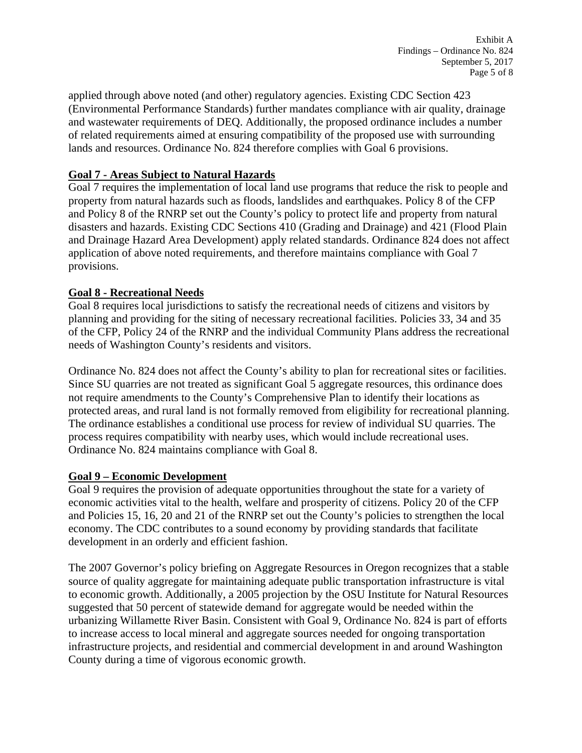applied through above noted (and other) regulatory agencies. Existing CDC Section 423 (Environmental Performance Standards) further mandates compliance with air quality, drainage and wastewater requirements of DEQ. Additionally, the proposed ordinance includes a number of related requirements aimed at ensuring compatibility of the proposed use with surrounding lands and resources. Ordinance No. 824 therefore complies with Goal 6 provisions.

## **Goal 7 - Areas Subject to Natural Hazards**

Goal 7 requires the implementation of local land use programs that reduce the risk to people and property from natural hazards such as floods, landslides and earthquakes. Policy 8 of the CFP and Policy 8 of the RNRP set out the County's policy to protect life and property from natural disasters and hazards. Existing CDC Sections 410 (Grading and Drainage) and 421 (Flood Plain and Drainage Hazard Area Development) apply related standards. Ordinance 824 does not affect application of above noted requirements, and therefore maintains compliance with Goal 7 provisions.

# **Goal 8 - Recreational Needs**

Goal 8 requires local jurisdictions to satisfy the recreational needs of citizens and visitors by planning and providing for the siting of necessary recreational facilities. Policies 33, 34 and 35 of the CFP, Policy 24 of the RNRP and the individual Community Plans address the recreational needs of Washington County's residents and visitors.

Ordinance No. 824 does not affect the County's ability to plan for recreational sites or facilities. Since SU quarries are not treated as significant Goal 5 aggregate resources, this ordinance does not require amendments to the County's Comprehensive Plan to identify their locations as protected areas, and rural land is not formally removed from eligibility for recreational planning. The ordinance establishes a conditional use process for review of individual SU quarries. The process requires compatibility with nearby uses, which would include recreational uses. Ordinance No. 824 maintains compliance with Goal 8.

## **Goal 9 – Economic Development**

Goal 9 requires the provision of adequate opportunities throughout the state for a variety of economic activities vital to the health, welfare and prosperity of citizens. Policy 20 of the CFP and Policies 15, 16, 20 and 21 of the RNRP set out the County's policies to strengthen the local economy. The CDC contributes to a sound economy by providing standards that facilitate development in an orderly and efficient fashion.

The 2007 Governor's policy briefing on Aggregate Resources in Oregon recognizes that a stable source of quality aggregate for maintaining adequate public transportation infrastructure is vital to economic growth. Additionally, a 2005 projection by the OSU Institute for Natural Resources suggested that 50 percent of statewide demand for aggregate would be needed within the urbanizing Willamette River Basin. Consistent with Goal 9, Ordinance No. 824 is part of efforts to increase access to local mineral and aggregate sources needed for ongoing transportation infrastructure projects, and residential and commercial development in and around Washington County during a time of vigorous economic growth.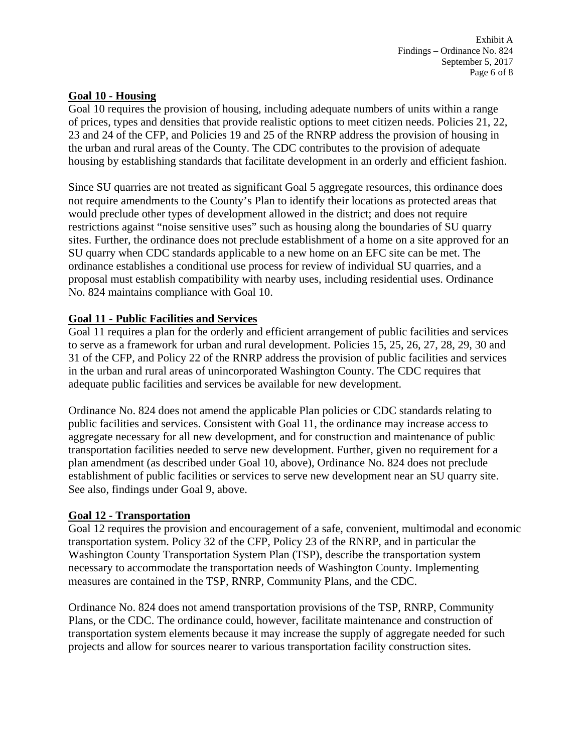### **Goal 10 - Housing**

Goal 10 requires the provision of housing, including adequate numbers of units within a range of prices, types and densities that provide realistic options to meet citizen needs. Policies 21, 22, 23 and 24 of the CFP, and Policies 19 and 25 of the RNRP address the provision of housing in the urban and rural areas of the County. The CDC contributes to the provision of adequate housing by establishing standards that facilitate development in an orderly and efficient fashion.

Since SU quarries are not treated as significant Goal 5 aggregate resources, this ordinance does not require amendments to the County's Plan to identify their locations as protected areas that would preclude other types of development allowed in the district; and does not require restrictions against "noise sensitive uses" such as housing along the boundaries of SU quarry sites. Further, the ordinance does not preclude establishment of a home on a site approved for an SU quarry when CDC standards applicable to a new home on an EFC site can be met. The ordinance establishes a conditional use process for review of individual SU quarries, and a proposal must establish compatibility with nearby uses, including residential uses. Ordinance No. 824 maintains compliance with Goal 10.

## **Goal 11 - Public Facilities and Services**

Goal 11 requires a plan for the orderly and efficient arrangement of public facilities and services to serve as a framework for urban and rural development. Policies 15, 25, 26, 27, 28, 29, 30 and 31 of the CFP, and Policy 22 of the RNRP address the provision of public facilities and services in the urban and rural areas of unincorporated Washington County. The CDC requires that adequate public facilities and services be available for new development.

Ordinance No. 824 does not amend the applicable Plan policies or CDC standards relating to public facilities and services. Consistent with Goal 11, the ordinance may increase access to aggregate necessary for all new development, and for construction and maintenance of public transportation facilities needed to serve new development. Further, given no requirement for a plan amendment (as described under Goal 10, above), Ordinance No. 824 does not preclude establishment of public facilities or services to serve new development near an SU quarry site. See also, findings under Goal 9, above.

## **Goal 12 - Transportation**

Goal 12 requires the provision and encouragement of a safe, convenient, multimodal and economic transportation system. Policy 32 of the CFP, Policy 23 of the RNRP, and in particular the Washington County Transportation System Plan (TSP), describe the transportation system necessary to accommodate the transportation needs of Washington County. Implementing measures are contained in the TSP, RNRP, Community Plans, and the CDC.

Ordinance No. 824 does not amend transportation provisions of the TSP, RNRP, Community Plans, or the CDC. The ordinance could, however, facilitate maintenance and construction of transportation system elements because it may increase the supply of aggregate needed for such projects and allow for sources nearer to various transportation facility construction sites.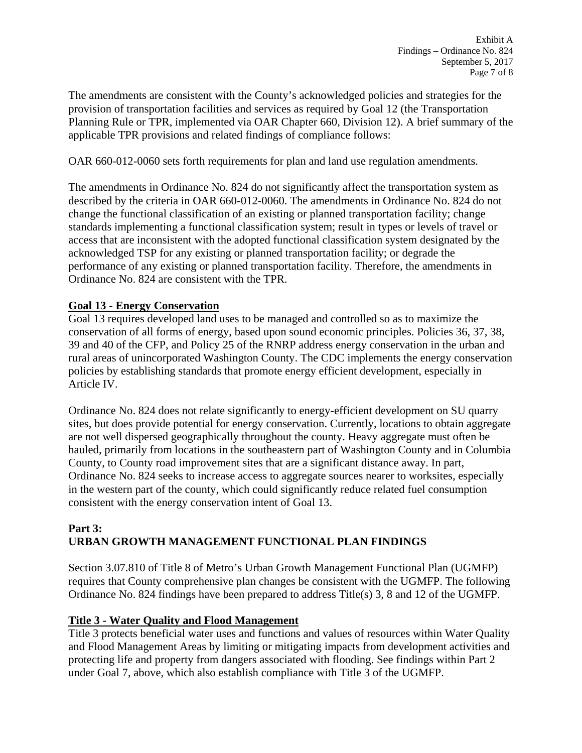The amendments are consistent with the County's acknowledged policies and strategies for the provision of transportation facilities and services as required by Goal 12 (the Transportation Planning Rule or TPR, implemented via OAR Chapter 660, Division 12). A brief summary of the applicable TPR provisions and related findings of compliance follows:

OAR 660-012-0060 sets forth requirements for plan and land use regulation amendments.

The amendments in Ordinance No. 824 do not significantly affect the transportation system as described by the criteria in OAR 660-012-0060. The amendments in Ordinance No. 824 do not change the functional classification of an existing or planned transportation facility; change standards implementing a functional classification system; result in types or levels of travel or access that are inconsistent with the adopted functional classification system designated by the acknowledged TSP for any existing or planned transportation facility; or degrade the performance of any existing or planned transportation facility. Therefore, the amendments in Ordinance No. 824 are consistent with the TPR.

## **Goal 13 - Energy Conservation**

Goal 13 requires developed land uses to be managed and controlled so as to maximize the conservation of all forms of energy, based upon sound economic principles. Policies 36, 37, 38, 39 and 40 of the CFP, and Policy 25 of the RNRP address energy conservation in the urban and rural areas of unincorporated Washington County. The CDC implements the energy conservation policies by establishing standards that promote energy efficient development, especially in Article IV.

Ordinance No. 824 does not relate significantly to energy-efficient development on SU quarry sites, but does provide potential for energy conservation. Currently, locations to obtain aggregate are not well dispersed geographically throughout the county. Heavy aggregate must often be hauled, primarily from locations in the southeastern part of Washington County and in Columbia County, to County road improvement sites that are a significant distance away. In part, Ordinance No. 824 seeks to increase access to aggregate sources nearer to worksites, especially in the western part of the county, which could significantly reduce related fuel consumption consistent with the energy conservation intent of Goal 13.

## **Part 3: URBAN GROWTH MANAGEMENT FUNCTIONAL PLAN FINDINGS**

Section 3.07.810 of Title 8 of Metro's Urban Growth Management Functional Plan (UGMFP) requires that County comprehensive plan changes be consistent with the UGMFP. The following Ordinance No. 824 findings have been prepared to address Title(s) 3, 8 and 12 of the UGMFP.

## **Title 3 - Water Quality and Flood Management**

Title 3 protects beneficial water uses and functions and values of resources within Water Quality and Flood Management Areas by limiting or mitigating impacts from development activities and protecting life and property from dangers associated with flooding. See findings within Part 2 under Goal 7, above, which also establish compliance with Title 3 of the UGMFP.